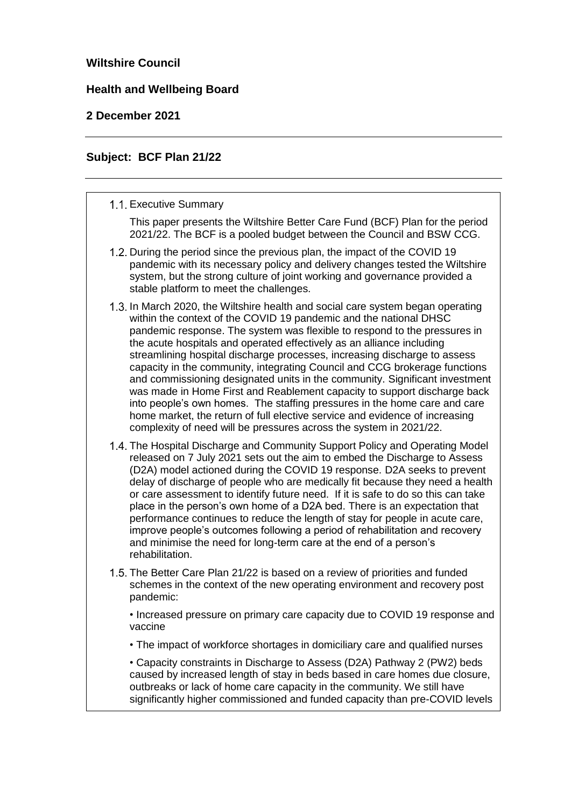## **Wiltshire Council**

#### **Health and Wellbeing Board**

**2 December 2021**

#### **Subject: BCF Plan 21/22**

| 1.1. Executive Summary            |
|-----------------------------------|
| This paper presents the Wiltshire |

Better Care Fund (BCF) Plan for the period 2021/22. The BCF is a pooled budget between the Council and BSW CCG.

- 1.2. During the period since the previous plan, the impact of the COVID 19 pandemic with its necessary policy and delivery changes tested the Wiltshire system, but the strong culture of joint working and governance provided a stable platform to meet the challenges.
- In March 2020, the Wiltshire health and social care system began operating within the context of the COVID 19 pandemic and the national DHSC pandemic response. The system was flexible to respond to the pressures in the acute hospitals and operated effectively as an alliance including streamlining hospital discharge processes, increasing discharge to assess capacity in the community, integrating Council and CCG brokerage functions and commissioning designated units in the community. Significant investment was made in Home First and Reablement capacity to support discharge back into people's own homes. The staffing pressures in the home care and care home market, the return of full elective service and evidence of increasing complexity of need will be pressures across the system in 2021/22.
- 1.4. The Hospital Discharge and Community Support Policy and Operating Model released on 7 July 2021 sets out the aim to embed the Discharge to Assess (D2A) model actioned during the COVID 19 response. D2A seeks to prevent delay of discharge of people who are medically fit because they need a health or care assessment to identify future need. If it is safe to do so this can take place in the person's own home of a D2A bed. There is an expectation that performance continues to reduce the length of stay for people in acute care, improve people's outcomes following a period of rehabilitation and recovery and minimise the need for long-term care at the end of a person's rehabilitation.
- The Better Care Plan 21/22 is based on a review of priorities and funded schemes in the context of the new operating environment and recovery post pandemic:

• Increased pressure on primary care capacity due to COVID 19 response and vaccine

• The impact of workforce shortages in domiciliary care and qualified nurses

• Capacity constraints in Discharge to Assess (D2A) Pathway 2 (PW2) beds caused by increased length of stay in beds based in care homes due closure, outbreaks or lack of home care capacity in the community. We still have significantly higher commissioned and funded capacity than pre-COVID levels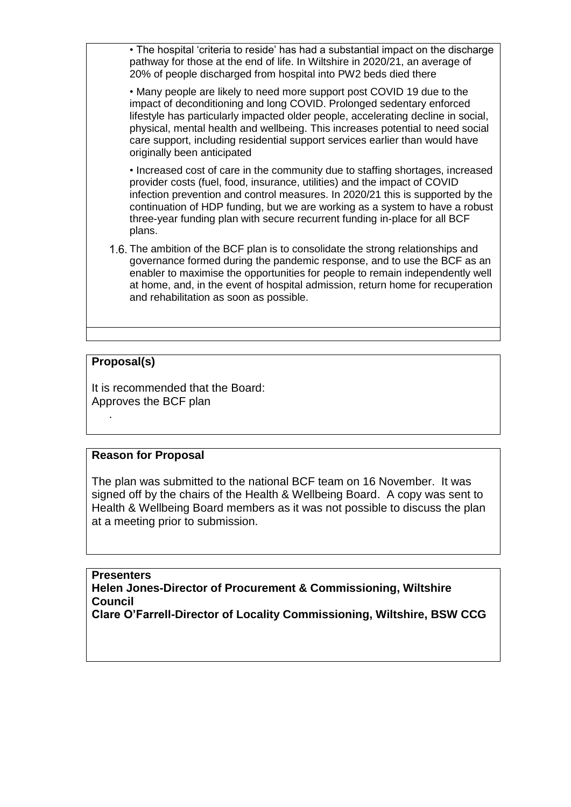• The hospital 'criteria to reside' has had a substantial impact on the discharge pathway for those at the end of life. In Wiltshire in 2020/21, an average of 20% of people discharged from hospital into PW2 beds died there

• Many people are likely to need more support post COVID 19 due to the impact of deconditioning and long COVID. Prolonged sedentary enforced lifestyle has particularly impacted older people, accelerating decline in social, physical, mental health and wellbeing. This increases potential to need social care support, including residential support services earlier than would have originally been anticipated

• Increased cost of care in the community due to staffing shortages, increased provider costs (fuel, food, insurance, utilities) and the impact of COVID infection prevention and control measures. In 2020/21 this is supported by the continuation of HDP funding, but we are working as a system to have a robust three-year funding plan with secure recurrent funding in-place for all BCF plans.

1.6. The ambition of the BCF plan is to consolidate the strong relationships and governance formed during the pandemic response, and to use the BCF as an enabler to maximise the opportunities for people to remain independently well at home, and, in the event of hospital admission, return home for recuperation and rehabilitation as soon as possible.

## **Proposal(s)**

It is recommended that the Board: Approves the BCF plan .

#### **Reason for Proposal**

The plan was submitted to the national BCF team on 16 November. It was signed off by the chairs of the Health & Wellbeing Board. A copy was sent to Health & Wellbeing Board members as it was not possible to discuss the plan at a meeting prior to submission.

**Presenters Helen Jones-Director of Procurement & Commissioning, Wiltshire Council Clare O'Farrell-Director of Locality Commissioning, Wiltshire, BSW CCG**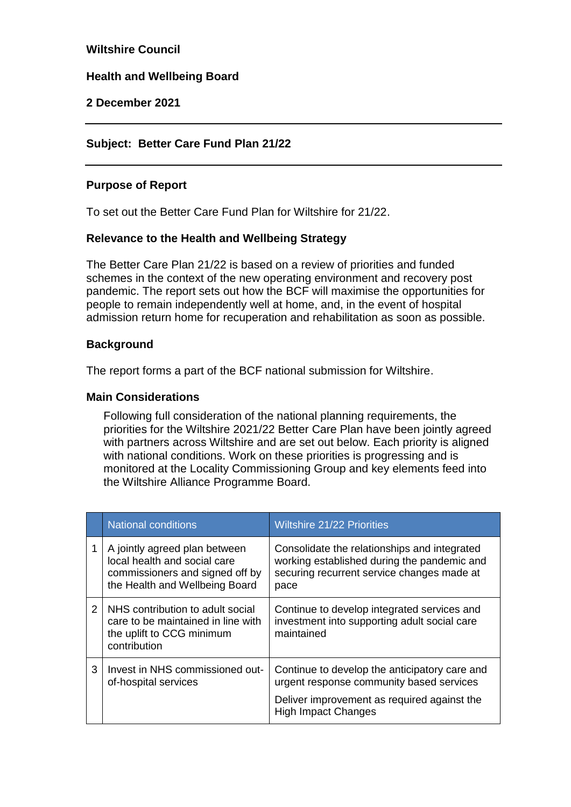## **Wiltshire Council**

### **Health and Wellbeing Board**

**2 December 2021**

## **Subject: Better Care Fund Plan 21/22**

### **Purpose of Report**

To set out the Better Care Fund Plan for Wiltshire for 21/22.

## **Relevance to the Health and Wellbeing Strategy**

The Better Care Plan 21/22 is based on a review of priorities and funded schemes in the context of the new operating environment and recovery post pandemic. The report sets out how the BCF will maximise the opportunities for people to remain independently well at home, and, in the event of hospital admission return home for recuperation and rehabilitation as soon as possible.

#### **Background**

The report forms a part of the BCF national submission for Wiltshire.

#### **Main Considerations**

Following full consideration of the national planning requirements, the priorities for the Wiltshire 2021/22 Better Care Plan have been jointly agreed with partners across Wiltshire and are set out below. Each priority is aligned with national conditions. Work on these priorities is progressing and is monitored at the Locality Commissioning Group and key elements feed into the Wiltshire Alliance Programme Board.

|   | <b>National conditions</b>                                                                                                         | <b>Wiltshire 21/22 Priorities</b>                                                                                                                                      |
|---|------------------------------------------------------------------------------------------------------------------------------------|------------------------------------------------------------------------------------------------------------------------------------------------------------------------|
|   | A jointly agreed plan between<br>local health and social care<br>commissioners and signed off by<br>the Health and Wellbeing Board | Consolidate the relationships and integrated<br>working established during the pandemic and<br>securing recurrent service changes made at<br>pace                      |
| 2 | NHS contribution to adult social<br>care to be maintained in line with<br>the uplift to CCG minimum<br>contribution                | Continue to develop integrated services and<br>investment into supporting adult social care<br>maintained                                                              |
| 3 | Invest in NHS commissioned out-<br>of-hospital services                                                                            | Continue to develop the anticipatory care and<br>urgent response community based services<br>Deliver improvement as required against the<br><b>High Impact Changes</b> |